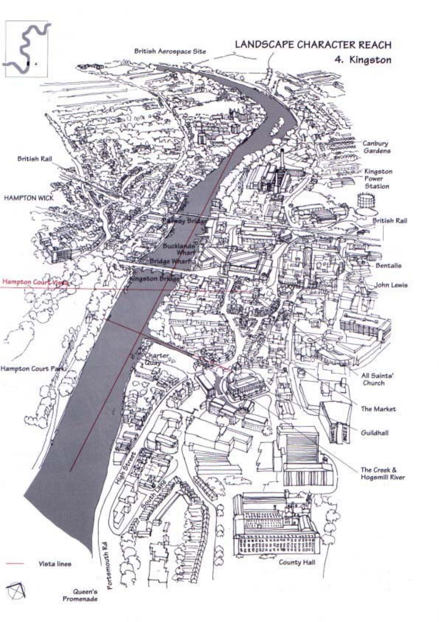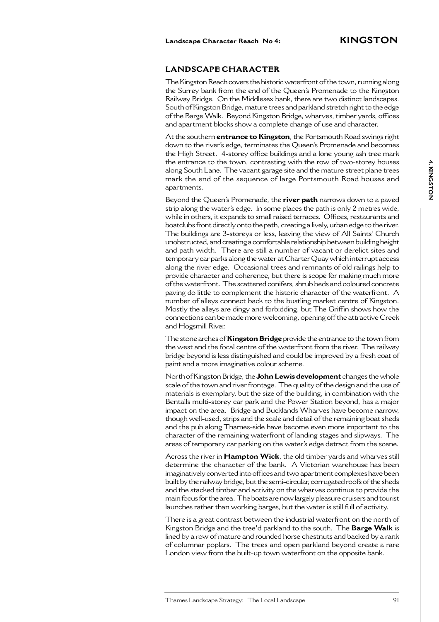## **LANDSCAPE CHARACTER**

The Kingston Reach covers the historic waterfront of the town, running along the Surrey bank from the end of the Queen's Promenade to the Kingston Railway Bridge. On the Middlesex bank, there are two distinct landscapes. South of Kingston Bridge, mature trees and parkland stretch right to the edge of the Barge Walk. Beyond Kingston Bridge, wharves, timber yards, offices and apartment blocks show a complete change of use and character.

At the southern **entrance to Kingston**, the Portsmouth Road swings right down to the river's edge, terminates the Queen's Promenade and becomes the High Street. 4-storey office buildings and a lone young ash tree mark the entrance to the town, contrasting with the row of two-storey houses along South Lane. The vacant garage site and the mature street plane trees mark the end of the sequence of large Portsmouth Road houses and apartments.

Beyond the Queen's Promenade, the **river path** narrows down to a paved strip along the water's edge. In some places the path is only 2 metres wide, while in others, it expands to small raised terraces. Offices, restaurants and boatclubs front directly onto the path, creating a lively, urban edge to the river. The buildings are 3-storeys or less, leaving the view of All Saints' Church unobstructed, and creating a comfortable relationship between building height and path width. There are still a number of vacant or derelict sites and temporary car parks along the water at Charter Quay which interrupt access along the river edge. Occasional trees and remnants of old railings help to provide character and coherence, but there is scope for making much more of the waterfront. The scattered conifers, shrub beds and coloured concrete paving do little to complement the historic character of the waterfront. A number of alleys connect back to the bustling market centre of Kingston. Mostly the alleys are dingy and forbidding, but The Griffin shows how the connections can be made more welcoming, opening off the attractive Creek and Hogsmill River.

The stone arches of **Kingston Bridge** provide the entrance to the town from the west and the focal centre of the waterfront from the river. The railway bridge beyond is less distinguished and could be improved by a fresh coat of paint and a more imaginative colour scheme.

North of Kingston Bridge, the **John Lewis development** changes the whole scale of the town and river frontage. The quality of the design and the use of materials is exemplary, but the size of the building, in combination with the Bentalls multi-storey car park and the Power Station beyond, has a major impact on the area. Bridge and Bucklands Wharves have become narrow, though well-used, strips and the scale and detail of the remaining boat sheds and the pub along Thames-side have become even more important to the character of the remaining waterfront of landing stages and slipways. The areas of temporary car parking on the water's edge detract from the scene.

Across the river in **Hampton Wick**, the old timber yards and wharves still determine the character of the bank. A Victorian warehouse has been imaginatively converted into offices and two apartment complexes have been built by the railway bridge, but the semi-circular, corrugated roofs of the sheds and the stacked timber and activity on the wharves continue to provide the main focus for the area. The boats are now largely pleasure cruisers and tourist launches rather than working barges, but the water is still full of activity.

There is a great contrast between the industrial waterfront on the north of Kingston Bridge and the tree'd parkland to the south. The **Barge Walk** is lined by a row of mature and rounded horse chestnuts and backed by a rank of columnar poplars. The trees and open parkland beyond create a rare London view from the built-up town waterfront on the opposite bank.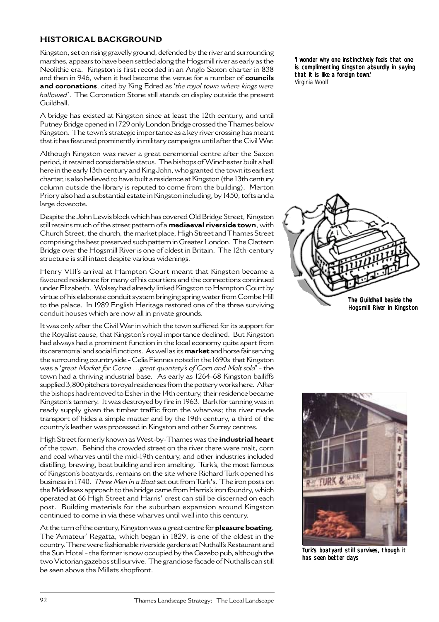# **HISTORICAL BACKGROUND**

Kingston, set on rising gravelly ground, defended by the river and surrounding marshes, appears to have been settled along the Hogsmill river as early as the Neolithic era. Kingston is first recorded in an Anglo Saxon charter in 838 and then in 946, when it had become the venue for a number of **councils and coronations**, cited by King Edred as '*the royal town where kings were hallowed'*. The Coronation Stone still stands on display outside the present Guildhall.

A bridge has existed at Kingston since at least the 12th century, and until Putney Bridge opened in 1729 only London Bridge crossed the Thames below Kingston. The town's strategic importance as a key river crossing has meant that it has featured prominently in military campaigns until after the Civil War.

Although Kingston was never a great ceremonial centre after the Saxon period, it retained considerable status. The bishops of Winchester built a hall here in the early 13th century and King John, who granted the town its earliest charter, is also believed to have built a residence at Kingston (the 13th century column outside the library is reputed to come from the building). Merton Priory also had a substantial estate in Kingston including, by 1450, tofts and a large dovecote.

Despite the John Lewis block which has covered Old Bridge Street, Kingston still retains much of the street pattern of a **mediaeval riverside town**, with Church Street, the church, the market place, High Street and Thames Street comprising the best preserved such pattern in Greater London. The Clattern Bridge over the Hogsmill River is one of oldest in Britain. The 12th-century structure is still intact despite various widenings.

Henry VIII's arrival at Hampton Court meant that Kingston became a favoured residence for many of his courtiers and the connections continued under Elizabeth. Wolsey had already linked Kingston to Hampton Court by virtue of his elaborate conduit system bringing spring water from Combe Hill to the palace. In 1989 English Heritage restored one of the three surviving conduit houses which are now all in private grounds.

It was only after the Civil War in which the town suffered for its support for the Royalist cause, that Kingston's royal importance declined. But Kingston had always had a prominent function in the local economy quite apart from its ceremonial and social functions. As well as its **market** and horse fair serving the surrounding countryside - Celia Fiennes noted in the 1690s that Kingston was a '*great Market for Corne ...great quantety's of Corn and Malt sold*' - the town had a thriving industrial base. As early as 1264-68 Kingston bailiffs supplied 3,800 pitchers to royal residences from the pottery works here. After the bishops had removed to Esher in the 14th century, their residence became Kingston's tannery. It was destroyed by fire in 1963. Bark for tanning was in ready supply given the timber traffic from the wharves; the river made transport of hides a simple matter and by the 19th century, a third of the country's leather was processed in Kingston and other Surrey centres.

High Street formerly known as West-by-Thames was the **industrial heart** of the town. Behind the crowded street on the river there were malt, corn and coal wharves until the mid-19th century, and other industries included distilling, brewing, boat building and iron smelting. Turk's, the most famous of Kingston's boatyards, remains on the site where Richard Turk opened his business in 1740. *Three Men in a Boat* set out from Turk's. The iron posts on the Middlesex approach to the bridge came from Harris's iron foundry, which operated at 66 High Street and Harris' crest can still be discerned on each post. Building materials for the suburban expansion around Kingston continued to come in via these wharves until well into this century.

At the turn of the century, Kingston was a great centre for **pleasure boating**. The 'Amateur' Regatta, which began in 1829, is one of the oldest in the country. There were fashionable riverside gardens at Nuthall's Restaurant and the Sun Hotel - the former is now occupied by the Gazebo pub, although the two Victorian gazebos still survive. The grandiose facade of Nuthalls can still be seen above the Millets shopfront.

'I wonder why one instinctively feels that one is complimenting Kingston absurdly in saying that it is like a foreign town.' Virginia Woolf





Turk's boatyard still survives, though it has seen better days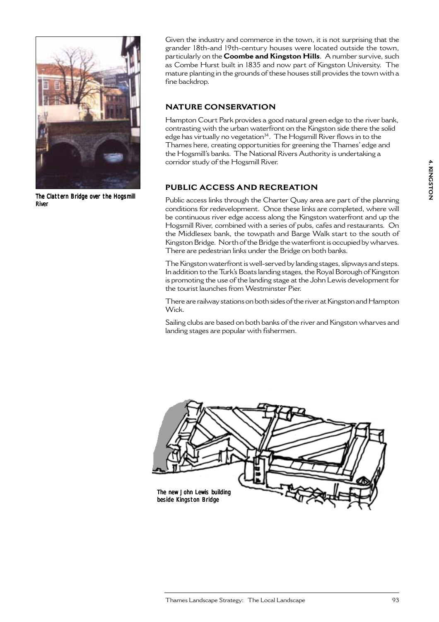

The Clattern Bridge over the Hogsmill River

Given the industry and commerce in the town, it is not surprising that the grander 18th-and 19th-century houses were located outside the town, particularly on the **Coombe and Kingston Hills**. A number survive, such as Combe Hurst built in 1835 and now part of Kingston University. The mature planting in the grounds of these houses still provides the town with a fine backdrop.

# **NATURE CONSERVATION**

Hampton Court Park provides a good natural green edge to the river bank, contrasting with the urban waterfront on the Kingston side there the solid edge has virtually no vegetation<sup>34</sup>. The Hogsmill River flows in to the Thames here, creating opportunities for greening the Thames' edge and the Hogsmill's banks. The National Rivers Authority is undertaking a corridor study of the Hogsmill River.

# **PUBLIC ACCESS AND RECREATION**

Public access links through the Charter Quay area are part of the planning conditions for redevelopment. Once these links are completed, where will be continuous river edge access along the Kingston waterfront and up the Hogsmill River, combined with a series of pubs, cafes and restaurants. On the Middlesex bank, the towpath and Barge Walk start to the south of Kingston Bridge. North of the Bridge the waterfront is occupied by wharves. There are pedestrian links under the Bridge on both banks.

The Kingston waterfront is well-served by landing stages, slipways and steps. In addition to the Turk's Boats landing stages, the Royal Borough of Kingston is promoting the use of the landing stage at the John Lewis development for the tourist launches from Westminster Pier.

There are railway stations on both sides of the river at Kingston and Hampton Wick.

Sailing clubs are based on both banks of the river and Kingston wharves and landing stages are popular with fishermen.

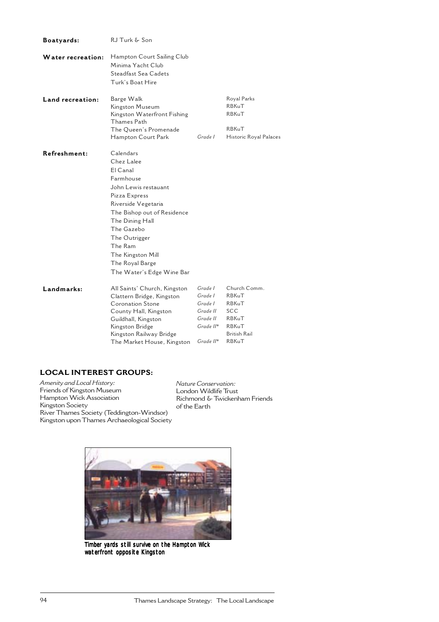| Boatyards:               | RJ Turk & Son                                                                                                                                                                                                                                                                     |                                                                                      |                                                                                                       |
|--------------------------|-----------------------------------------------------------------------------------------------------------------------------------------------------------------------------------------------------------------------------------------------------------------------------------|--------------------------------------------------------------------------------------|-------------------------------------------------------------------------------------------------------|
| <b>Water recreation:</b> | Hampton Court Sailing Club<br>Minima Yacht Club<br>Steadfast Sea Cadets<br>Turk's Boat Hire                                                                                                                                                                                       |                                                                                      |                                                                                                       |
| Land recreation:         | Barge Walk<br>Kingston Museum<br>Kingston Waterfront Fishing<br>Thames Path<br>The Oueen's Promenade<br>Hampton Court Park                                                                                                                                                        | Grade I                                                                              | Royal Parks<br>RBKuT<br>RBKuT<br>RBKuT<br>Historic Royal Palaces                                      |
| Refreshment:             | Calendars<br>Chez Lalee<br>El Canal<br>Farmhouse<br>John Lewis restauant<br>Pizza Express<br>Riverside Vegetaria<br>The Bishop out of Residence<br>The Dining Hall<br>The Gazebo<br>The Outrigger<br>The Ram<br>The Kingston Mill<br>The Royal Barge<br>The Water's Edge Wine Bar |                                                                                      |                                                                                                       |
| Landmarks:               | All Saints' Church, Kingston<br>Clattern Bridge, Kingston<br>Coronation Stone<br>County Hall, Kingston<br>Guildhall, Kingston<br>Kingston Bridge<br>Kingston Railway Bridge<br>The Market House, Kingston                                                                         | Grade I<br>Grade I<br>Grade I<br>Grade II<br>Grade II<br>Grade II*<br>$Grade$ $II^*$ | Church Comm.<br>RBKuT<br>RBKuT<br><b>SCC</b><br>RBKuT<br><b>RBKuT</b><br><b>British Rail</b><br>RBKuT |

# **LOCAL INTEREST GROUPS:**

*Amenity and Local History:* Friends of Kingston Museum Hampton Wick Association Kingston Society River Thames Society (Teddington-Windsor) Kingston upon Thames Archaeological Society

*Nature Conservation:* London Wildlife Trust Richmond & Twickenham Friends of the Earth



Timber yards still survive on the Hampton Wick waterfront opposite Kingston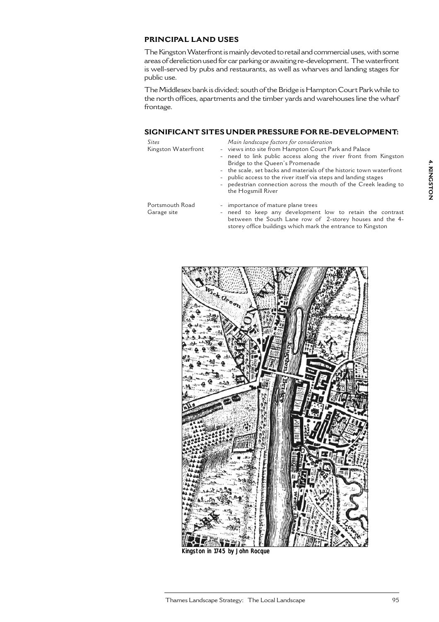## **PRINCIPAL LAND USES**

The Kingston Waterfront is mainly devoted to retail and commercial uses, with some areas of dereliction used for car parking or awaiting re-development. The waterfront is well-served by pubs and restaurants, as well as wharves and landing stages for public use.

The Middlesex bank is divided; south of the Bridge is Hampton Court Park while to the north offices, apartments and the timber yards and warehouses line the wharf frontage.

#### **SIGNIFICANT SITES UNDER PRESSURE FOR RE-DEVELOPMENT:**

| Sites               | Main landscape factors for consideration                                        |
|---------------------|---------------------------------------------------------------------------------|
| Kingston Waterfront | - views into site from Hampton Court Park and Palace                            |
|                     | - need to link public access along the river front from Kingston                |
|                     | Bridge to the Queen's Promenade                                                 |
|                     | - the scale, set backs and materials of the historic town waterfront            |
|                     | المحاجمة والماجا والمسام وجامعه المتاركا ومعنا والمناشر وطيعا والمحاجم والماريس |

- public access to the river itself via steps and landing stages
- pedestrian connection across the mouth of the Creek leading to the Hogsmill River

Portsmouth Road Garage site

- importance of mature plane trees need to keep any development low to retain the contrast between the South Lane row of 2-storey houses and the 4 storey office buildings which mark the entrance to Kingston



Kingston in 1745 by John Rocque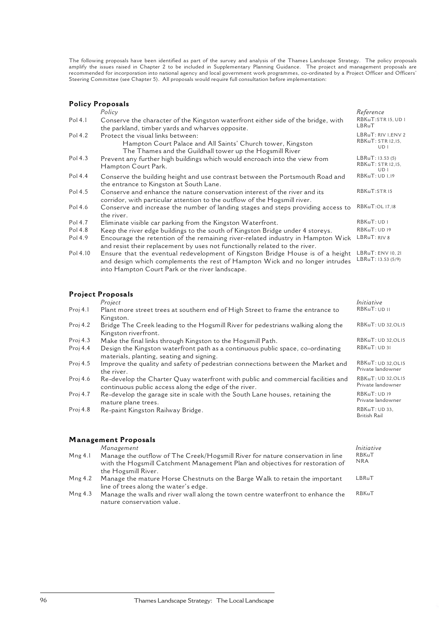The following proposals have been identified as part of the survey and analysis of the Thames Landscape Strategy. The policy proposals amplify the issues raised in Chapter 2 to be included in Supplementary Planning Guidance. The project and management proposals are recommended for incorporation into national agency and local government work programmes, co-ordinated by a Project Officer and Officers' Steering Committee (see Chapter 5). All proposals would require full consultation before implementation:

#### **Policy Proposals**

|          | Policy                                                                                                                                                         | Reference                                        |
|----------|----------------------------------------------------------------------------------------------------------------------------------------------------------------|--------------------------------------------------|
| Pol 4.1  | Conserve the character of the Kingston waterfront either side of the bridge, with<br>the parkland, timber yards and wharves opposite.                          | RBKuT:STR 15, UD 1<br>LBRuT                      |
| Pol 4.2  | Protect the visual links between:<br>Hampton Court Palace and All Saints' Church tower, Kingston<br>The Thames and the Guildhall tower up the Hogsmill River   | LBRuT: RIV I, ENV 2<br>RBKuT: STR 12.15.<br>UD 1 |
| Pol 4.3  | Prevent any further high buildings which would encroach into the view from<br>Hampton Court Park.                                                              | LBRuT: 13.53 (5)<br>RBKuT: STR 12,15,<br>UD1     |
| Pol 4.4  | Conserve the building height and use contrast between the Portsmouth Road and<br>the entrance to Kingston at South Lane.                                       | RBKuT: UD 1,19                                   |
| Pol 4.5  | Conserve and enhance the nature conservation interest of the river and its<br>corridor, with particular attention to the outflow of the Hogsmill river.        | RBKuT:STR15                                      |
| Pol 4.6  | Conserve and increase the number of landing stages and steps providing access to<br>the river.                                                                 | RBKuT:OL 17,18                                   |
| Pol 4.7  | Eliminate visible car parking from the Kingston Waterfront.                                                                                                    | RBKuT: UD 1                                      |
| Pol 4.8  | Keep the river edge buildings to the south of Kingston Bridge under 4 storeys.                                                                                 | RBKuT: UD19                                      |
| Pol 4.9  | Encourage the retention of the remaining river-related industry in Hampton Wick<br>and resist their replacement by uses not functionally related to the river. | LBRuT: RIV 8                                     |
| Pol 4.10 | Ensure that the eventual redevelopment of Kingston Bridge House is of a height                                                                                 | LBRuT: ENV 10, 21                                |

and design which complements the rest of Hampton Wick and no longer intrudes into Hampton Court Park or the river landscape. LBRuT: 13.53 (5/9)

### **Project Proposals**

|            | Project                                                                                                                                   | Initiative                              |
|------------|-------------------------------------------------------------------------------------------------------------------------------------------|-----------------------------------------|
| Proj 4.1   | Plant more street trees at southern end of High Street to frame the entrance to                                                           | RBKuT: UD 11                            |
|            | Kingston.                                                                                                                                 |                                         |
| Proj $4.2$ | Bridge The Creek leading to the Hogsmill River for pedestrians walking along the<br>Kingston riverfront.                                  | RBKuT: UD 32.OL15                       |
| Proj $4.3$ | Make the final links through Kingston to the Hogsmill Path.                                                                               | RBKuT: UD 32, OL15                      |
| Proj $4.4$ | Design the Kingston waterfront path as a continuous public space, co-ordinating<br>materials, planting, seating and signing.              | RBKuT: UD 31                            |
| Proj $4.5$ | Improve the quality and safety of pedestrian connections between the Market and<br>the river.                                             | RBKuT: UD 32, OL15<br>Private landowner |
| Proj 4.6   | Re-develop the Charter Quay waterfront with public and commercial facilities and<br>continuous public access along the edge of the river. | RBKuT: UD 32, OL15<br>Private landowner |
| Proj 4.7   | Re-develop the garage site in scale with the South Lane houses, retaining the<br>mature plane trees.                                      | RBKuT: UD19<br>Private landowner        |
| Proj 4.8   | Re-paint Kingston Railway Bridge.                                                                                                         | RBKuT: UD 33,<br>British Rail           |
|            |                                                                                                                                           |                                         |
|            |                                                                                                                                           |                                         |

#### **Management Proposals**

*Management Initiative*

- Mng 4.1 Manage the outflow of The Creek/Hogsmill River for nature conservation in line with the Hogsmill Catchment Management Plan and objectives for restoration of the Hogsmill River. RBKuT NRA LBRuT
- Mng 4.2 Manage the mature Horse Chestnuts on the Barge Walk to retain the important line of trees along the water's edge.
- Mng 4.3 Manage the walls and river wall along the town centre waterfront to enhance the nature conservation value. RBKuT